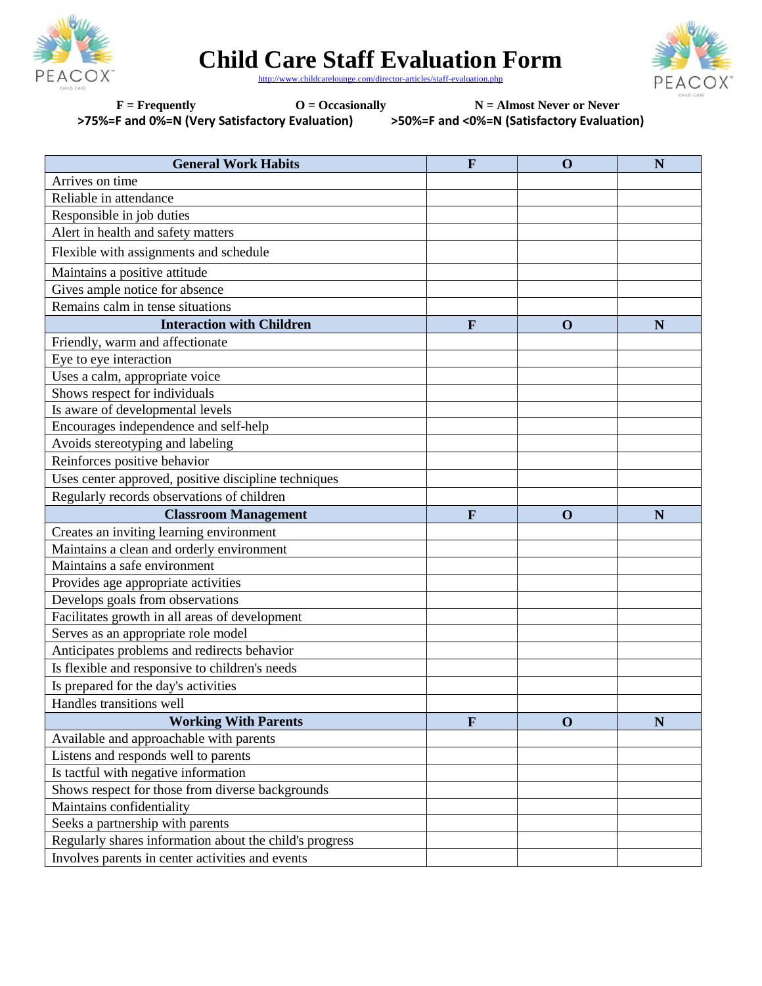

**Child Care Staff Evaluation Form**

Р

http://www.childcarelounge.com/director-articles/staff-evaluation.php

F = Frequently  $O = Occasionally$  N = Almost Never or Never **>75%=F and 0%=N (Very Satisfactory Evaluation) >50%=F and <0%=N (Satisfactory Evaluation)**

| <b>General Work Habits</b>                              | F            | $\mathbf 0$ | N |
|---------------------------------------------------------|--------------|-------------|---|
| Arrives on time                                         |              |             |   |
| Reliable in attendance                                  |              |             |   |
| Responsible in job duties                               |              |             |   |
| Alert in health and safety matters                      |              |             |   |
| Flexible with assignments and schedule                  |              |             |   |
| Maintains a positive attitude                           |              |             |   |
| Gives ample notice for absence                          |              |             |   |
| Remains calm in tense situations                        |              |             |   |
| <b>Interaction with Children</b>                        | F            | $\mathbf 0$ | N |
| Friendly, warm and affectionate                         |              |             |   |
| Eye to eye interaction                                  |              |             |   |
| Uses a calm, appropriate voice                          |              |             |   |
| Shows respect for individuals                           |              |             |   |
| Is aware of developmental levels                        |              |             |   |
| Encourages independence and self-help                   |              |             |   |
| Avoids stereotyping and labeling                        |              |             |   |
| Reinforces positive behavior                            |              |             |   |
| Uses center approved, positive discipline techniques    |              |             |   |
| Regularly records observations of children              |              |             |   |
| <b>Classroom Management</b>                             | $\mathbf{F}$ | $\mathbf 0$ | N |
| Creates an inviting learning environment                |              |             |   |
| Maintains a clean and orderly environment               |              |             |   |
| Maintains a safe environment                            |              |             |   |
| Provides age appropriate activities                     |              |             |   |
| Develops goals from observations                        |              |             |   |
| Facilitates growth in all areas of development          |              |             |   |
| Serves as an appropriate role model                     |              |             |   |
| Anticipates problems and redirects behavior             |              |             |   |
| Is flexible and responsive to children's needs          |              |             |   |
| Is prepared for the day's activities                    |              |             |   |
| Handles transitions well                                |              |             |   |
| <b>Working With Parents</b>                             | $\mathbf{F}$ | $\mathbf 0$ | N |
| Available and approachable with parents                 |              |             |   |
| Listens and responds well to parents                    |              |             |   |
| Is tactful with negative information                    |              |             |   |
| Shows respect for those from diverse backgrounds        |              |             |   |
| Maintains confidentiality                               |              |             |   |
| Seeks a partnership with parents                        |              |             |   |
| Regularly shares information about the child's progress |              |             |   |
| Involves parents in center activities and events        |              |             |   |